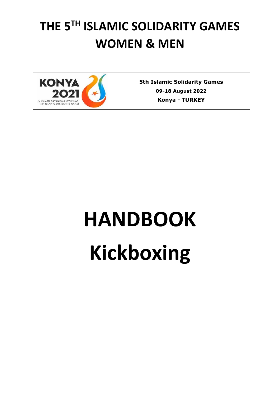# **THE 5TH ISLAMIC SOLIDARITY GAMES WOMEN & MEN**



**5th Islamic Solidarity Games 09-18 August 2022 Konya** *-* **TURKEY**

# **HANDBOOK Kickboxing**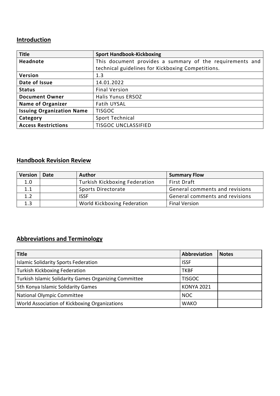### **Introduction**

| <b>Title</b>                     | <b>Sport Handbook-Kickboxing</b>                         |
|----------------------------------|----------------------------------------------------------|
| <b>Headnote</b>                  | This document provides a summary of the requirements and |
|                                  | technical guidelines for Kickboxing Competitions.        |
| Version                          | 1.3                                                      |
| Date of Issue                    | 14.01.2022                                               |
| <b>Status</b>                    | <b>Final Version</b>                                     |
| <b>Document Owner</b>            | <b>Halis Yunus ERSOZ</b>                                 |
| <b>Name of Organizer</b>         | <b>Fatih UYSAL</b>                                       |
| <b>Issuing Organization Name</b> | <b>TISGOC</b>                                            |
| Category                         | Sport Technical                                          |
| <b>Access Restrictions</b>       | <b>TISGOC UNCLASSIFIED</b>                               |

## **Handbook Revision Review**

| <b>Version</b> | Date | <b>Author</b>                        | <b>Summary Flow</b>            |
|----------------|------|--------------------------------------|--------------------------------|
| 1.0            |      | <b>Turkish Kickboxing Federation</b> | <b>First Draft</b>             |
| 1.1            |      | Sports Directorate                   | General comments and revisions |
| 1.2            |      | <b>ISSF</b>                          | General comments and revisions |
| 1.3            |      | World Kickboxing Federation          | <b>Final Version</b>           |

# **Abbreviations and Terminology**

| <b>Title</b>                                          | Abbreviation      | <b>Notes</b> |
|-------------------------------------------------------|-------------------|--------------|
| <b>Islamic Solidarity Sports Federation</b>           | <b>ISSF</b>       |              |
| <b>Turkish Kickboxing Federation</b>                  | <b>TKBF</b>       |              |
| Turkish Islamic Solidarity Games Organizing Committee | <b>TISGOC</b>     |              |
| 5th Konya Islamic Solidarity Games                    | <b>KONYA 2021</b> |              |
| <b>National Olympic Committee</b>                     | <b>NOC</b>        |              |
| World Association of Kickboxing Organizations         | <b>WAKO</b>       |              |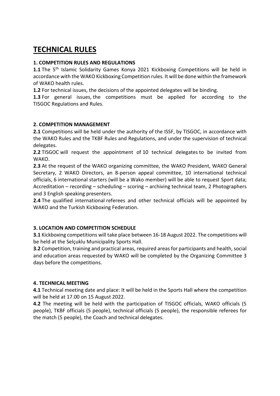# **TECHNICAL RULES**

#### **1. COMPETITION RULES AND REGULATIONS**

1.1 The 5<sup>th</sup> Islamic Solidarity Games Konya 2021 Kickboxing Competitions will be held in accordance with the WAKO Kickboxing Competition rules. It will be done within the framework of WAKO health rules.

**1.2** For technical issues, the decisions of the appointed delegates will be binding.

**1.3** For general issues, the competitions must be applied for according to the TISGOC Regulations and Rules.

#### **2. COMPETITION MANAGEMENT**

**2.1** Competitions will be held under the authority of the ISSF, by TISGOC, in accordance with the WAKO Rules and the TKBF Rules and Regulations, and under the supervision of technical delegates.

**2.2** TISGOC will request the appointment of 10 technical delegates to be invited from WAKO.

**2.3** At the request of the WAKO organizing committee, the WAKO President, WAKO General Secretary, 2 WAKO Directors, an 8-person appeal committee, 10 international technical officials, 6 international starters (will be a Wako member) will be able to request Sport data; Accreditation – recording – scheduling – scoring – archiving technical team, 2 Photographers and 3 English speaking presenters.

**2.4** The qualified international referees and other technical officials will be appointed by WAKO and the Turkish Kickboxing Federation.

#### **3. LOCATION AND COMPETITION SCHEDULE**

**3.1** Kickboxing competitions will take place between 16-18 August 2022. The competitions will be held at the Selçuklu Municipality Sports Hall.

**3.2** Competition, training and practical areas, required areas for participants and health, social and education areas requested by WAKO will be completed by the Organizing Committee 3 days before the competitions.

#### **4. TECHNICAL MEETING**

**4.1** Technical meeting date and place: It will be held in the Sports Hall where the competition will be held at 17.00 on 15 August 2022.

**4.2** The meeting will be held with the participation of TISGOC officials, WAKO officials (5 people), TKBF officials (5 people), technical officials (5 people), the responsible referees for the match (5 people), the Coach and technical delegates.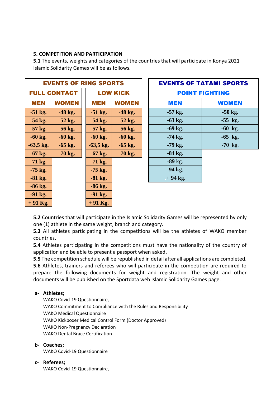#### **5. COMPETITION AND PARTICIPATION**

**5.1** The events, weights and categories of the countries that will participate in Konya 2021 Islamic Solidarity Games will be as follows.

| <b>EVENTS OF RING SPORTS</b> |              |                 |              |                       | <b>EVENTS OF TATAMI SPORT</b> |              |  |
|------------------------------|--------------|-----------------|--------------|-----------------------|-------------------------------|--------------|--|
| <b>FULL CONTACT</b>          |              | <b>LOW KICK</b> |              | <b>POINT FIGHTING</b> |                               |              |  |
| <b>MEN</b>                   | <b>WOMEN</b> | <b>MEN</b>      | <b>WOMEN</b> |                       | MEN                           | <b>WOMEN</b> |  |
| $-51$ kg.                    | $-48$ kg.    | $-51$ kg.       | $-48$ kg.    |                       | $-57$ kg.                     | $-50$ kg.    |  |
| $-54$ kg.                    | $-52$ kg.    | $-54$ kg.       | $-52$ kg.    |                       | $-63$ kg.                     | $-55$ kg.    |  |
| $-57$ kg.                    | $-56$ kg.    | $-57$ kg.       | $-56$ kg.    |                       | $-69$ kg.                     | $-60$ kg.    |  |
| $-60$ kg.                    | $-60$ kg.    | $-60$ kg.       | $-60$ kg.    |                       | $-74$ kg.                     | $-65$ kg.    |  |
| $-63,5$ kg.                  | $-65$ kg.    | $-63,5$ kg.     | $-65$ kg.    |                       | $-79$ kg.                     | $-70$ kg.    |  |
| $-67$ kg.                    | $-70$ kg.    | $-67$ kg.       | $-70$ kg.    |                       | $-84$ kg.                     |              |  |
| $-71$ kg.                    |              | $-71$ kg.       |              |                       | $-89$ kg.                     |              |  |
| $-75$ kg.                    |              | $-75$ kg.       |              |                       | $-94$ kg.                     |              |  |
| $-81$ kg.                    |              | $-81$ kg.       |              |                       | $+94$ kg.                     |              |  |
| $-86$ kg.                    |              | $-86$ kg.       |              |                       |                               |              |  |
| $-91$ kg.                    |              | $-91$ kg.       |              |                       |                               |              |  |
| $+91$ Kg.                    |              | $+91$ Kg.       |              |                       |                               |              |  |

| <b>EVENTS OF RING SPORTS</b>        |              |                       | <b>EVENTS OF TATAMI SPORTS</b> |                  |              |
|-------------------------------------|--------------|-----------------------|--------------------------------|------------------|--------------|
| <b>L CONTACT</b><br><b>LOW KICK</b> |              | <b>POINT FIGHTING</b> |                                |                  |              |
| V                                   | <b>WOMEN</b> | <b>MEN</b>            | <b>WOMEN</b>                   | <b>MEN</b>       | <b>WOMEN</b> |
| g.                                  | $-48$ kg.    | $-51$ kg.             | $-48$ kg.                      | $-57$ kg.        | $-50$ kg.    |
| g.                                  | $-52$ kg.    | $-54$ kg.             | $-52$ kg.                      | $-63$ kg.        | $-55$ kg.    |
| g.                                  | $-56$ kg.    | $-57$ kg.             | $-56$ kg.                      | $-69$ kg.        | $-60$ kg.    |
| g.                                  | $-60$ kg.    | $-60$ kg.             | $-60$ kg.                      | $-74$ kg.        | $-65$ kg.    |
| ζg.                                 | $-65$ kg.    | $-63,5$ kg.           | $-65$ kg.                      | $-79$ kg.        | $-70$ kg.    |
| g.                                  | $-70$ kg.    | $-67$ kg.             | $-70$ kg.                      | $-84$ kg.        |              |
| g.                                  |              | $-71$ kg.             |                                | $-89$ kg.        |              |
| g.                                  |              | $-75$ kg.             |                                | $-94$ kg.        |              |
| $\mathbf{p}_{\perp}$                |              | $-81$ kg.             |                                | $+94 \text{ kg}$ |              |

**5.2** Countries that will participate in the Islamic Solidarity Games will be represented by only one (1) athlete in the same weight, branch and category.

**5.3** All athletes participating in the competitions will be the athletes of WAKO member countries.

**5.4** Athletes participating in the competitions must have the nationality of the country of application and be able to present a passport when asked.

**5.5** The competition schedule will be republished in detail after all applications are completed.

**5.6** Athletes, trainers and referees who will participate in the competition are required to prepare the following documents for weight and registration. The weight and other documents will be published on the Sportdata web Islamic Solidarity Games page.

#### **a- Athletes;**

WAKO Covid-19 Questionnaire, WAKO Commitment to Compliance with the Rules and Responsibility WAKO Medical Questionnaire WAKO Kickboxer Medical Control Form (Doctor Approved) WAKO Non-Pregnancy Declaration WAKO Dental Brace Certification

#### **b- Coaches;**

WAKO Covid-19 Questionnaire

#### **c- Referees;**

WAKO Covid-19 Questionnaire,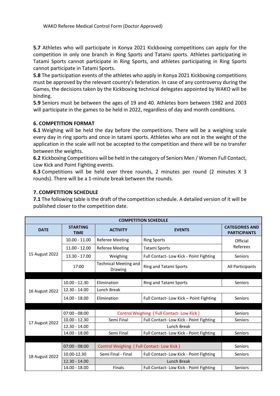**5.7** Athletes who will participate in Konya 2021 Kickboxing competitions can apply for the competition in only one branch in Ring Sports and Tatami sports. Athletes participating in Tatami Sports cannot participate in Ring Sports, and athletes participating in Ring Sports cannot participate in Tatami Sports.

**5.8** The participation events of the athletes who apply in Konya 2021 Kickboxing competitions must be approved by the relevant country's federation. In case of any controversy during the Games, the decisions taken by the Kickboxing technical delegates appointed by WAKO will be binding.

**5.9** Seniors must be between the ages of 19 and 40. Athletes born between 1982 and 2003 will participate in the games to be held in 2022, regardless of day and month conditions.

#### **6. COMPETITION FORMAT**

**6.1** Weighing will be held the day before the competitions. There will be a weighing scale every day in ring sports and once in tatami sports. Athletes who are not in the weight of the application in the scale will not be accepted to the competition and there will be no transfer between the weights.

**6.2** Kickboxing Competitions will be held in the category of Seniors Men / Women Full Contact, Low Kick and Point Fighting events.

**6.3** Competitions will be held over three rounds, 2 minutes per round (2 minutes X 3 rounds). There will be a 1-minute break between the rounds.

#### **7. COMPETITION SCHEDULE**

**7.1** The following table is the draft of the competition schedule. A detailed version of it will be published closer to the competition date.

| <b>COMPETITION SCHEDULE</b> |                                |                                                                   |                                         |                                              |  |  |
|-----------------------------|--------------------------------|-------------------------------------------------------------------|-----------------------------------------|----------------------------------------------|--|--|
| <b>DATE</b>                 | <b>STARTING</b><br><b>TIME</b> | <b>ACTIVITY</b><br><b>EVENTS</b>                                  |                                         | <b>CATEGORIES AND</b><br><b>PARTICIPANTS</b> |  |  |
|                             | $10.00 - 11.00$                | <b>Referee Meeting</b>                                            | <b>Ring Sports</b>                      | Official<br>Referees                         |  |  |
|                             | $11.00 - 12.00$                | <b>Referee Meeting</b>                                            | Tatami Sports                           |                                              |  |  |
| 15 August 2022              | 13.30 - 17.00                  | Weighing<br>Full Contact- Low Kick - Point Fighting               |                                         | <b>Seniors</b>                               |  |  |
|                             | 17:00                          | <b>Technical Meeting and</b><br>Ring and Tatami Sports<br>Drawing |                                         | All Participants                             |  |  |
|                             |                                |                                                                   |                                         |                                              |  |  |
|                             | $10.00 - 12.30$                | Elimination                                                       | <b>Ring and Tatami Sports</b>           | <b>Seniors</b>                               |  |  |
| 16 August 2022              | $12.30 - 14.00$                | Lunch Break                                                       |                                         |                                              |  |  |
|                             | $14.00 - 18.00$                | Elimination                                                       | Full Contact-Low Kick - Point Fighting  | <b>Seniors</b>                               |  |  |
|                             |                                |                                                                   |                                         |                                              |  |  |
|                             | $07:00 - 08:00$                | Control Weighing (Full Contact-Low Kick)                          | <b>Seniors</b>                          |                                              |  |  |
| 17 August 2022              | $10.00 - 12.30$                | Semi Final                                                        | Full Contact- Low Kick - Point Fighting | <b>Seniors</b>                               |  |  |
|                             | $12.30 - 14.00$                |                                                                   |                                         |                                              |  |  |
|                             | 14.00 - 18.00                  | Semi Final                                                        | Full Contact- Low Kick - Point Fighting | Seniors                                      |  |  |
|                             |                                |                                                                   |                                         |                                              |  |  |
|                             | $07:00 - 08:00$                | Control Weighing (Full Contact-Low Kick)                          | Seniors                                 |                                              |  |  |
| 18 August 2022              | 10.00-12.30                    | Semi Final - Final                                                | Full Contact-Low Kick - Point Fighting  | <b>Seniors</b>                               |  |  |
|                             | $12.30 - 14.00$                | Lunch Break                                                       |                                         |                                              |  |  |
|                             | 14.00 - 18.00                  | <b>Finals</b>                                                     | Full Contact-Low Kick - Point Fighting  | <b>Seniors</b>                               |  |  |